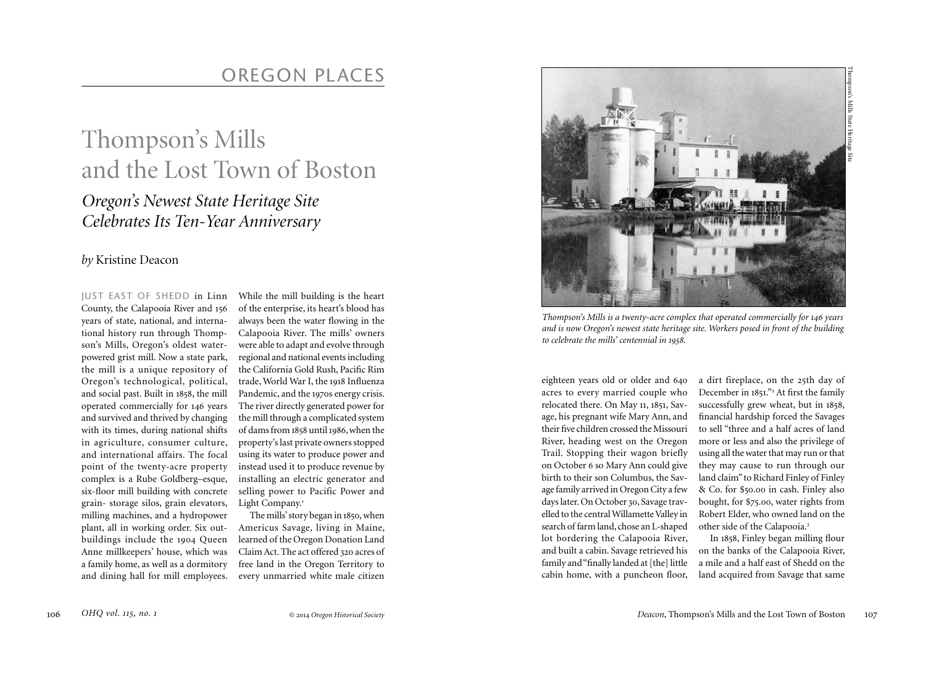## Thompson's Mills and the Lost Town of Boston

## *Oregon's Newest State Heritage Site Celebrates Its Ten-Year Anniversary*

## *by* Kristine Deacon

JUST EAST OF SHEDD in Linn County, the Calapooia River and 156 years of state, national, and international history run through Thompson's Mills, Oregon's oldest waterpowered grist mill. Now a state park, the mill is a unique repository of Oregon's technological, political, and social past. Built in 1858, the mill operated commercially for 146 years and survived and thrived by changing with its times, during national shifts in agriculture, consumer culture, and international affairs. The focal point of the twenty-acre property complex is a Rube Goldberg–esque, six-floor mill building with concrete grain- storage silos, grain elevators, milling machines, and a hydropower plant, all in working order. Six outbuildings include the 1904 Queen Anne millkeepers' house, which was a family home, as well as a dormitory and dining hall for mill employees.

While the mill building is the heart of the enterprise, its heart's blood has always been the water flowing in the Calapooia River. The mills' owners were able to adapt and evolve through regional and national events including the California Gold Rush, Pacific Rim trade, World War I, the 1918 Influenza Pandemic, and the 1970s energy crisis. The river directly generated power for the mill through a complicated system of dams from 1858 until 1986, when the property's last private owners stopped using its water to produce power and instead used it to produce revenue by installing an electric generator and selling power to Pacific Power and Light Company.<sup>1</sup>

The mills' story began in 1850, when Americus Savage, living in Maine, learned of the Oregon Donation Land Claim Act. The act offered 320 acres of free land in the Oregon Territory to every unmarried white male citizen



*Thompson's Mills is a twenty-acre complex that operated commercially for 146 years and is now Oregon's newest state heritage site. Workers posed in front of the building to celebrate the mills' centennial in 1958.* 

eighteen years old or older and 640 acres to every married couple who relocated there. On May 11, 1851, Savage, his pregnant wife Mary Ann, and their five children crossed the Missouri River, heading west on the Oregon Trail. Stopping their wagon briefly on October 6 so Mary Ann could give birth to their son Columbus, the Savage family arrived in Oregon City a few days later. On October 30, Savage travelled to the central Willamette Valley in search of farm land, chose an L-shaped lot bordering the Calapooia River, and built a cabin. Savage retrieved his family and "finally landed at [the] little cabin home, with a puncheon floor,

a dirt fireplace, on the 25th day of December in 1851."<sup>2</sup> At first the family successfully grew wheat, but in 1858, financial hardship forced the Savages to sell "three and a half acres of land more or less and also the privilege of using all the water that may run or that they may cause to run through our land claim" to Richard Finley of Finley & Co. for \$50.00 in cash. Finley also bought, for \$75.00, water rights from Robert Elder, who owned land on the other side of the Calapooia.<sup>3</sup>

In 1858, Finley began milling flour on the banks of the Calapooia River, a mile and a half east of Shedd on the land acquired from Savage that same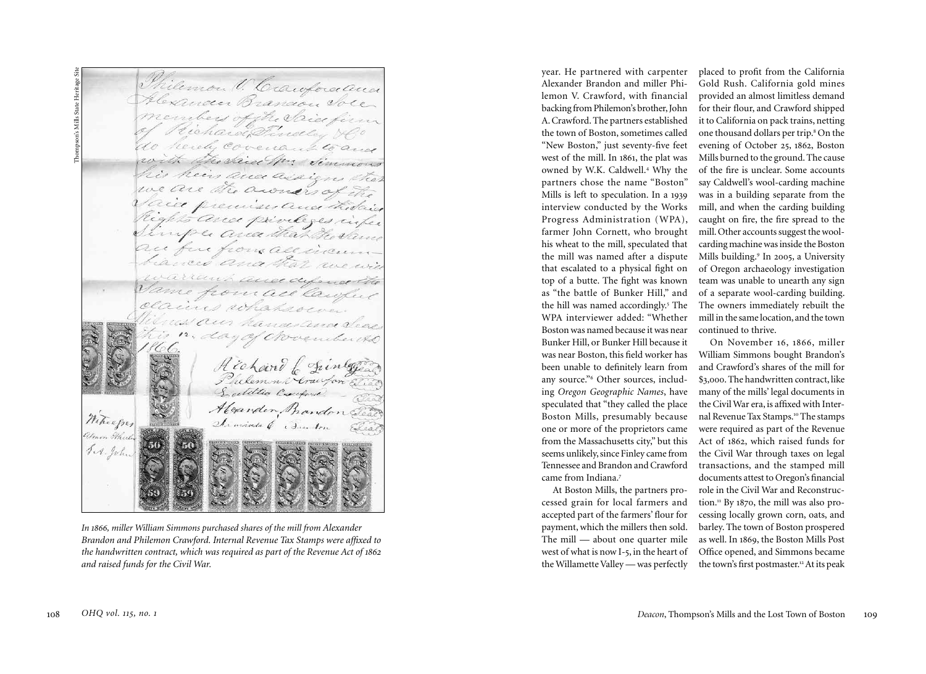Thompson's Mills State Heritage SiteThilemon V. Caufocaaus pson's Mills State Heritage Hexander Brancon Jole hard Findley reich Covenant toand The daice Mr. Simmons heir ance a we are a awrency premises and thidais With and privileges rifer imper area that the same from all incu fue and dylence the fromace lawfu ocacines whatsoever. Alexander Bandon Witnesper The minds of Til. John

*In 1866, miller William Simmons purchased shares of the mill from Alexander Brandon and Philemon Crawford. Internal Revenue Tax Stamps were affixed to the handwritten contract, which was required as part of the Revenue Act of 1862 and raised funds for the Civil War.*

year. He partnered with carpenter Alexander Brandon and miller Philemon V. Crawford, with financial backing from Philemon's brother, John A. Crawford. The partners established the town of Boston, sometimes called "New Boston," just seventy-five feet west of the mill. In 1861, the plat was owned by W.K. Caldwell.<sup>4</sup> Why the partners chose the name "Boston" Mills is left to speculation. In a 1939 interview conducted by the Works Progress Administration (WPA), farmer John Cornett, who brought his wheat to the mill, speculated that the mill was named after a dispute that escalated to a physical fight on top of a butte. The fight was known as "the battle of Bunker Hill," and the hill was named accordingly.<sup>5</sup> The WPA interviewer added: "Whether Boston was named because it was near Bunker Hill, or Bunker Hill because it was near Boston, this field worker has been unable to definitely learn from any source."<sup>6</sup> Other sources, including *Oregon Geographic Names*, have speculated that "they called the place Boston Mills, presumably because one or more of the proprietors came from the Massachusetts city," but this seems unlikely, since Finley came from Tennessee and Brandon and Crawford came from Indiana.<sup>7</sup>

At Boston Mills, the partners processed grain for local farmers and accepted part of the farmers' flour for payment, which the millers then sold. The mill — about one quarter mile west of what is now I-5, in the heart of the Willamette Valley — was perfectly

placed to profit from the California Gold Rush. California gold mines provided an almost limitless demand for their flour, and Crawford shipped it to California on pack trains, netting one thousand dollars per trip.<sup>8</sup> On the evening of October 25, 1862, Boston Mills burned to the ground. The cause of the fire is unclear. Some accounts say Caldwell's wool-carding machine was in a building separate from the mill, and when the carding building caught on fire, the fire spread to the mill. Other accounts suggest the woolcarding machine was inside the Boston Mills building.<sup>9</sup> In 2005, a University of Oregon archaeology investigation team was unable to unearth any sign of a separate wool-carding building. The owners immediately rebuilt the mill in the same location, and the town continued to thrive.

On November 16, 1866, miller William Simmons bought Brandon's and Crawford's shares of the mill for \$3,000. The handwritten contract, like many of the mills' legal documents in the Civil War era, is affixed with Internal Revenue Tax Stamps.<sup>10</sup> The stamps were required as part of the Revenue Act of 1862, which raised funds for the Civil War through taxes on legal transactions, and the stamped mill documents attest to Oregon's financial role in the Civil War and Reconstruction.<sup>11</sup> By 1870, the mill was also processing locally grown corn, oats, and barley. The town of Boston prospered as well. In 1869, the Boston Mills Post Office opened, and Simmons became the town's first postmaster.<sup>12</sup> At its peak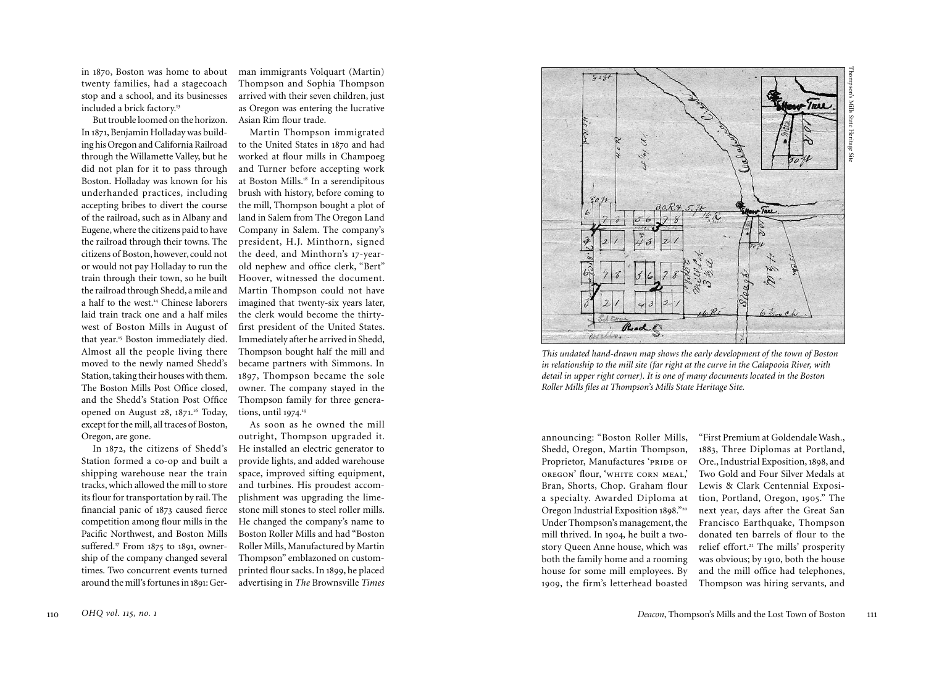in 870, Boston was home to about |<br>|<br>| twenty families, had a stagecoach stop and a school, and its businesses included a brick factory. 3 1

But trouble loomed on the horizon. Asian Rim flour trade. In 871, Benjamin Holladay was build - |<br>|<br>| ing his Oregon and California Railroad through the Willamette Valley, but he did not plan for it to pass through Boston. Holladay was known for his underhanded practices, including accepting bribes to divert the course of the railroad, such as in Albany and Eugene, where the citizens paid to have the railroad through their towns. The citizens of Boston, however, could not or would not pay Holladay to run the train through their town, so he built the railroad through Shedd, a mile and a half to the west. 4 Chinese laborers 1 laid train track one and a half miles west of Boston Mills in August of that year. 5 Boston immediately died. 1 Almost all the people living there moved to the newly named Shedd's Station, taking their houses with them. The Boston Mills Post Office closed, and the Shedd's Station Post Office opened on August 28, 871 . <sup>16</sup> Today, |<br>|<br>| except for the mill, all traces of Boston, Oregon, are gone.

In 8 2, the citizens of Shedd's |<br>|<br>| 7 Station formed a co-op and built a shipping warehouse near the train tracks, which allowed the mill to store its flour for transportation by rail. The financial panic of 8 3 caused fierce |<br>|<br>| .<br>. competition among flour mills in the Pacific Northwest, and Boston Mills suffered.<sup>17</sup> From 1875 to 1891, owner-|<br>|<br>| .<br>. ship of the company changed several times. Two concurrent events turned around the mill's fortunes in 189 1: Ger -

man immigrants Volquart (Martin) Thompson and Sophia Thompson arrived with their seven children, just as Oregon was entering the lucrative

Martin Thompson immigrated to the United States in 870 and had |<br>|<br>| worked at flour mills in Champoeg and Turner before accepting work at Boston Mills. 8 In a serendipitous 1 brush with history, before coming to the mill, Thompson bought a plot of land in Salem from The Oregon Land Company in Salem. The company's president, H.J. Minthorn, signed the deed, and Minthorn's 17-yearold nephew and office clerk, "Bert" Hoover, witnessed the document. Martin Thompson could not have imagined that twenty-six years later, the clerk would become the thirtyfirst president of the United States. Immediately after he arrived in Shedd, Thompson bought half the mill and became partners with Simmons. In 1897, Thompson became the sole owner. The company stayed in the Thompson family for three genera tions, until 9 74 . 9 |<br>|<br>| 1

As soon as he owned the mill outright, Thompson upgraded it. He installed an electric generator to provide lights, and added warehouse space, improved sifting equipment, and turbines. His proudest accom plishment was upgrading the lime stone mill stones to steel roller mills. He changed the company's name to Boston Roller Mills and had "Boston Roller Mills, Manufactured by Martin Thompson" emblazoned on customprinted flour sacks. In 1899, he placed advertising in *The* Brownsville *Times*



*This undated hand-drawn map shows the early development of the town of Boston in relationship to the mill site (far right at the curve in the Calapooia River, with detail in upper right corner). It is one of many documents located in the Boston Roller Mills files at Thompson's Mills State Heritage Site.* 

announcing: "Boston Roller Mills, Shedd, Oregon, Martin Thompson, Proprietor, Manufactures 'PRIDE OF oregon' flour, 'white corn meal,' Bran, Shorts, Chop. Graham flour a specialty. Awarded Diploma at Oregon Industrial Exposition 1898." 2 0 Under Thompson's management, the mill thrived. In 9 04, he built a two-|<br>|<br>| story Queen Anne house, which was both the family home and a rooming house for some mill employees. By 1909, the firm's letterhead boasted

"First Premium at Goldendale Wash., 1883, Three Diplomas at Portland, Ore., Industrial Exposition, 1898, and Two Gold and Four Silver Medals at Lewis & Clark Centennial Exposi tion, Portland, Oregon, 9 5." The |<br>|<br>|  $\overline{a}$ next year, days after the Great San Francisco Earthquake, Thompson donated ten barrels of flour to the relief effort. 2 The mills' prosperity 1 was obvious; by 910, both the house |<br>|<br>| and the mill office had telephones, Thompson was hiring servants, and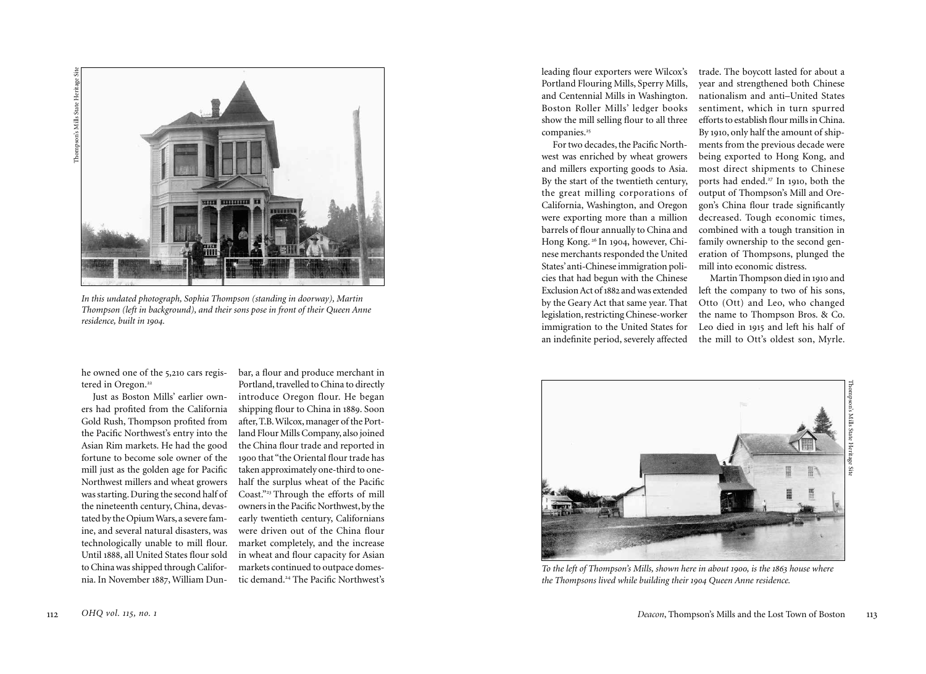

*In this undated photograph, Sophia Thompson (standing in doorway), Martin Thompson (left in background), and their sons pose in front of their Queen Anne residence, built in 1904.* 

he owned one of the 5 , 210 cars regis tered in Oregon.<sup>22</sup>

Just as Boston Mills' earlier own ers had profited from the California Gold Rush, Thompson profited from the Pacific Northwest's entry into the Asian Rim markets. He had the good fortune to become sole owner of the mill just as the golden age for Pacific Northwest millers and wheat growers was starting. During the second half of the nineteenth century, China, devas tated by the Opium Wars, a severe fam ine, and several natural disasters, was technologically unable to mill flour. Until 1888, all United States flour sold to China was shipped through Califor nia. In November 188 7, William Dun -

bar, a flour and produce merchant in Portland, travelled to China to directly introduce Oregon flour. He began shipping flour to China in 1889. Soon after, T.B. Wilcox, manager of the Port land Flour Mills Company, also joined the China flour trade and reported in 1900 that "the Oriental flour trade has taken approximately one-third to onehalf the surplus wheat of the Pacific Coast."<sup>23</sup> Through the efforts of mill owners in the Pacific Northwest, by the early twentieth century, Californians were driven out of the China flour market completely, and the increase in wheat and flour capacity for Asian markets continued to outpace domes tic demand.<sup>24</sup> The Pacific Northwest's

leading flour exporters were Wilcox's Portland Flouring Mills, Sperry Mills, and Centennial Mills in Washington. Boston Roller Mills' ledger books show the mill selling flour to all three companies.<sup>25</sup>

For two decades, the Pacific North west was enriched by wheat growers and millers exporting goods to Asia. By the start of the twentieth century, the great milling corporations of California, Washington, and Oregon were exporting more than a million barrels of flour annually to China and Hong Kong.<sup>26</sup> In 1904, however, Chi-|<br>|<br>|  $\overline{a}$ nese merchants responded the United States' anti-Chinese immigration poli cies that had begun with the Chinese Exclusion Act of 1882 and was extended by the Geary Act that same year. That legislation, restricting Chinese-worker immigration to the United States for an indefinite period, severely affected

trade. The boycott lasted for about a year and strengthened both Chinese nationalism and anti–United States sentiment, which in turn spurred efforts to establish flour mills in China. By 1910, only half the amount of ship-|<br>|<br>| ments from the previous decade were being exported to Hong Kong, and most direct shipments to Chinese ports had ended. 2 In 910, both the 7 |<br>|<br>| output of Thompson's Mill and Ore gon's China flour trade significantly decreased. Tough economic times, combined with a tough transition in family ownership to the second gen eration of Thompsons, plunged the mill into economic distress.

Martin Thompson died in 910 and |<br>|<br>| left the company to two of his sons, Otto (Ott) and Leo, who changed the name to Thompson Bros. & Co. Leo died in 9 5 and left his half of |<br>|<br>| |<br>|<br>| the mill to Ott's oldest son, Myrle.

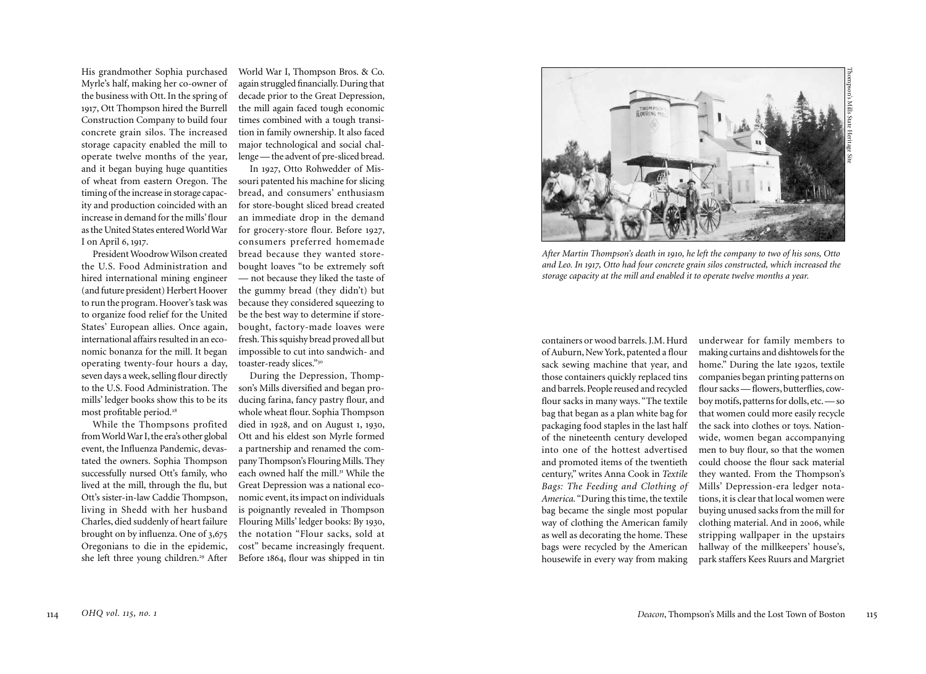His grandmother Sophia purchased Myrle's half, making her co-owner of the business with Ott. In the spring of 1917, Ott Thompson hired the Burrell Construction Company to build four concrete grain silos. The increased storage capacity enabled the mill to operate twelve months of the year, and it began buying huge quantities of wheat from eastern Oregon. The timing of the increase in storage capac ity and production coincided with an increase in demand for the mills' flour as the United States entered World War I on April 6, 917. |<br>|<br>|

President Woodrow Wilson created the U.S. Food Administration and hired international mining engineer (and future president) Herbert Hoover to run the program. Hoover's task was to organize food relief for the United States' European allies. Once again, international affairs resulted in an eco nomic bonanza for the mill. It began operating twenty-four hours a day, seven days a week, selling flour directly mills' ledger books show this to be its most profitable period.<sup>28</sup>

While the Thompsons profited from World War I, the era's other global event, the Influenza Pandemic, devas tated the owners. Sophia Thompson successfully nursed Ott's family, who lived at the mill, through the flu, but Ott's sister-in-law Caddie Thompson, living in Shedd with her husband Charles, died suddenly of heart failure brought on by influenza. One of 3 ,67 5 Oregonians to die in the epidemic, she left three young children.<sup>29</sup> After World War I, Thompson Bros. & Co. again struggled financially. During that decade prior to the Great Depression, the mill again faced tough economic times combined with a tough transi tion in family ownership. It also faced major technological and social chal lenge — the advent of pre-sliced bread.

In 192 7, Otto Rohwedder of Mis souri patented his machine for slicing bread, and consumers' enthusiasm for store-bought sliced bread created an immediate drop in the demand for grocery-store flour. Before 192 7, consumers preferred homemade bread because they wanted storebought loaves "to be extremely soft — not because they liked the taste of the gummy bread (they didn't) but because they considered squeezing to be the best way to determine if storebought, factory-made loaves were fresh. This squishy bread proved all but impossible to cut into sandwich- and toaster-ready slices." 3 0

to the U.S. Food Administration. The son's Mills diversified and began pro - During the Depression, Thomp ducing farina, fancy pastry flour, and whole wheat flour. Sophia Thompson died in 1928, and on August 1, 193 0, Ott and his eldest son Myrle formed a partnership and renamed the com pany Thompson's Flouring Mills. They each owned half the mill. 3 While the 1 Great Depression was a national eco nomic event, its impact on individuals is poignantly revealed in Thompson Flouring Mills' ledger books: By 193 0, the notation "Flour sacks, sold at cost" became increasingly frequent. Before 8 4, flour was shipped in tin |<br>|<br>| 6



*After Martin Thompson's death in 1910, he left the company to two of his sons, Otto and Leo. In 1917, Otto had four concrete grain silos constructed, which increased the storage capacity at the mill and enabled it to operate twelve months a year.*

containers or wood barrels. J.M. Hurd of Auburn, New York, patented a flour sack sewing machine that year, and those containers quickly replaced tins and barrels. People reused and recycled flour sacks in many ways. "The textile bag that began as a plan white bag for packaging food staples in the last half of the nineteenth century developed into one of the hottest advertised and promoted items of the twentieth century," writes Anna Cook in *Textile Bags: The Feeding and Clothing of America.* "During this time, the textile bag became the single most popular way of clothing the American family as well as decorating the home. These bags were recycled by the American housewife in every way from making

underwear for family members to making curtains and dishtowels for the home." During the late 192 0s, textile companies began printing patterns on flour sacks — flowers, butterflies, cow boy motifs, patterns for dolls, etc. — so that women could more easily recycle the sack into clothes or toys. Nation wide, women began accompanying men to buy flour, so that the women could choose the flour sack material they wanted. From the Thompson's Mills' Depression-era ledger nota tions, it is clear that local women were buying unused sacks from the mill for clothing material. And in 2006, while stripping wallpaper in the upstairs hallway of the millkeepers' house's, park staffers Kees Ruurs and Margriet

Thompson's Mills State Heritage Site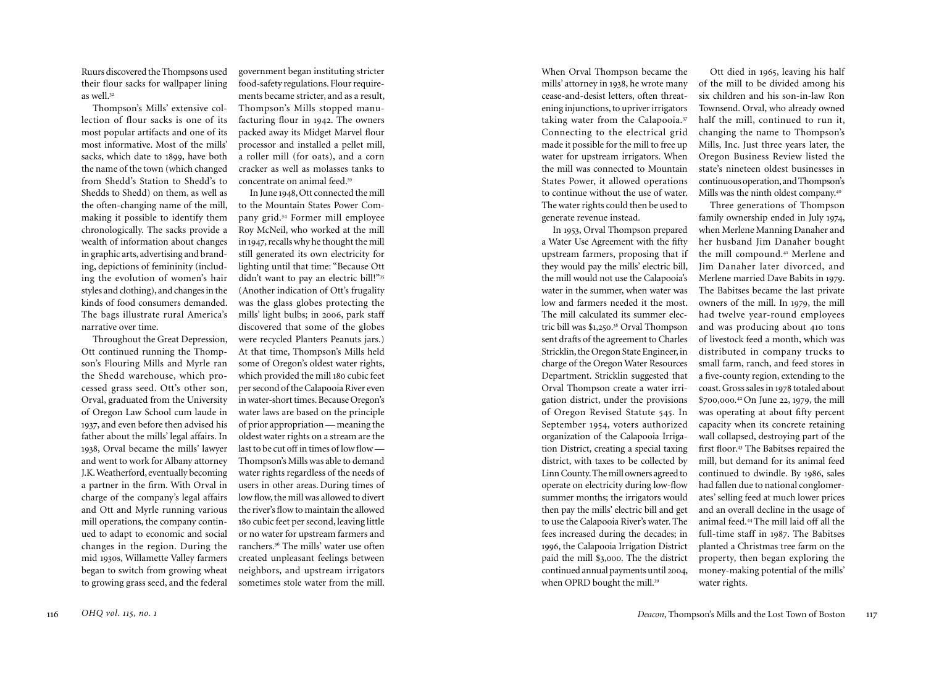Ruurs discovered the Thompsons used their flour sacks for wallpaper lining as well.<sup>32</sup>

Thompson's Mills' extensive col lection of flour sacks is one of its most popular artifacts and one of its most informative. Most of the mills' sacks, which date to 1899, have both the name of the town (which changed from Shedd's Station to Shedd's to Shedds to Shedd) on them, as well as the often-changing name of the mill, making it possible to identify them chronologically. The sacks provide a wealth of information about changes in graphic arts, advertising and brand ing, depictions of femininity (includ ing the evolution of women's hair styles and clothing), and changes in the kinds of food consumers demanded. The bags illustrate rural America's narrative over time.

Throughout the Great Depression, Ott continued running the Thomp son's Flouring Mills and Myrle ran the Shedd warehouse, which pro cessed grass seed. Ott's other son, Orval, graduated from the University of Oregon Law School cum laude in 1937, and even before then advised his father about the mills' legal affairs. In 1938, Orval became the mills' lawyer and went to work for Albany attorney J.K. Weatherford, eventually becoming a partner in the firm. With Orval in charge of the company's legal affairs and Ott and Myrle running various mill operations, the company contin ued to adapt to economic and social changes in the region. During the mid 193 0s, Willamette Valley farmers began to switch from growing wheat to growing grass seed, and the federal

government began instituting stricter food-safety regulations. Flour require ments became stricter, and as a result, Thompson's Mills stopped manu facturing flour in 1942. The owners packed away its Midget Marvel flour processor and installed a pellet mill, a roller mill (for oats), and a corn cracker as well as molasses tanks to concentrate on animal feed.<sup>33</sup>

In June 1948, Ott connected the mill to the Mountain States Power Com pany grid.<sup>34</sup> Former mill employee Roy McNeil, who worked at the mill in 194 7, recalls why he thought the mill still generated its own electricity for lighting until that time: "Because Ott didn't want to pay an electric bill!"35 (Another indication of Ott's frugality was the glass globes protecting the mills' light bulbs; in 2006, park staff discovered that some of the globes were recycled Planters Peanuts jars.) At that time, Thompson's Mills held some of Oregon's oldest water rights, which provided the mill 8 0 cubic feet |<br>|<br>| per second of the Calapooia River even in water-short times. Because Oregon's water laws are based on the principle of prior appropriation — meaning the oldest water rights on a stream are the last to be cut off in times of low flow — Thompson's Mills was able to demand water rights regardless of the needs of users in other areas. During times of low flow, the mill was allowed to divert the river's flow to maintain the allowed 180 cubic feet per second, leaving little or no water for upstream farmers and ranchers. 3 The mills' water use often 6 created unpleasant feelings between neighbors, and upstream irrigators sometimes stole water from the mill.

When Orval Thompson became the mills' attorney in 1938, he wrote many cease-and-desist letters, often threat ening injunctions, to upriver irrigators taking water from the Calapooia. 3 7 Connecting to the electrical grid made it possible for the mill to free up water for upstream irrigators. When the mill was connected to Mountain States Power, it allowed operations to continue without the use of water. The water rights could then be used to generate revenue instead.

In 1953, Orval Thompson prepared a Water Use Agreement with the fifty upstream farmers, proposing that if they would pay the mills' electric bill, the mill would not use the Calapooia's water in the summer, when water was low and farmers needed it the most. The mill calculated its summer elec tric bill was \$ ,25 . <sup>38</sup> Orval Thompson |<br>|<br>| 0 sent drafts of the agreement to Charles Stricklin, the Oregon State Engineer, in charge of the Oregon Water Resources Department. Stricklin suggested that Orval Thompson create a water irri gation district, under the provisions of Oregon Revised Statute 545. In September 1954, voters authorized organization of the Calapooia Irriga tion District, creating a special taxing district, with taxes to be collected by Linn County. The mill owners agreed to operate on electricity during low-flow summer months; the irrigators would then pay the mills' electric bill and get to use the Calapooia River's water. The fees increased during the decades; in 1996, the Calapooia Irrigation District paid the mill \$ 3 ,000. The the district continued annual payments until 200 4, when OPRD bought the mill.<sup>39</sup>

Ott died in 9 5, leaving his half |<br>|<br>| 6 of the mill to be divided among his six children and his son-in-law Ron Townsend. Orval, who already owned half the mill, continued to run it, changing the name to Thompson's Mills, Inc. Just three years later, the Oregon Business Review listed the state's nineteen oldest businesses in continuous operation, and Thompson's Mills was the ninth oldest company. 4 0

Three generations of Thompson family ownership ended in July 1974, |<br>|<br>| when Merlene Manning Danaher and her husband Jim Danaher bought the mill compound. 4 Merlene and 1 Jim Danaher later divorced, and Merlene married Dave Babits in 9 9. |<br>|<br>| 7 The Babitses became the last private owners of the mill. In 9 9, the mill |<br>|<br>| .<br>. had twelve year-round employees and was producing about 410 tons of livestock feed a month, which was distributed in company trucks to small farm, ranch, and feed stores in a five-county region, extending to the coast. Gross sales in 9 8 totaled about |<br>|<br>| 7 \$700,000.<sup>42</sup> On June 22, 1979, the mill |<br>|<br>| 7 was operating at about fifty percent capacity when its concrete retaining wall collapsed, destroying part of the first floor.<sup>43</sup> The Babitses repaired the mill, but demand for its animal feed continued to dwindle. By 198 6, sales had fallen due to national conglomer ates' selling feed at much lower prices and an overall decline in the usage of animal feed.<sup>44</sup>The mill laid off all the full-time staff in 198 7. The Babitses planted a Christmas tree farm on the property, then began exploring the money-making potential of the mills' water rights.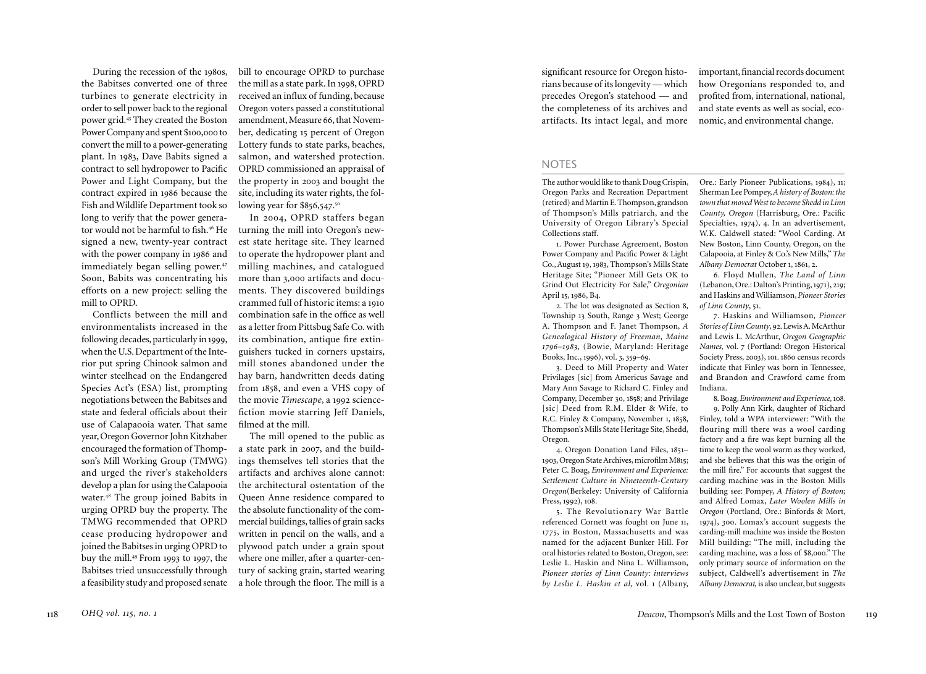During the recession of the 198 0s, the Babitses converted one of three turbines to generate electricity in order to sell power back to the regional power grid.<sup>45</sup> They created the Boston Power Company and spent \$100 ,000 to convert the mill to a power-generating plant. In 1983, Dave Babits signed a contract to sell hydropower to Pacific Power and Light Company, but the contract expired in 198 6 because the Fish and Wildlife Department took so long to verify that the power genera tor would not be harmful to fish.<sup>46</sup> He 6 signed a new, twenty-year contract with the power company in 198 6 and immediately began selling power. 4 7 Soon, Babits was concentrating his mill to OPRD.

Conflicts between the mill and environmentalists increased in the following decades, particularly in 1999, when the U.S. Department of the Inte rior put spring Chinook salmon and winter steelhead on the Endangered Species Act's (ESA) list, prompting negotiations between the Babitses and state and federal officials about their use of Calapaooia water. That same year, Oregon Governor John Kitzhaber encouraged the formation of Thomp son's Mill Working Group (TMWG) and urged the river's stakeholders develop a plan for using the Calapooia water.<sup>48</sup> The group joined Babits in urging OPRD buy the property. The TMWG recommended that OPRD cease producing hydropower and joined the Babitses in urging OPRD to buy the mill.<sup>49</sup> From 1993 to 1997, the Babitses tried unsuccessfully through a feasibility study and proposed senate

bill to encourage OPRD to purchase the mill as a state park. In 1998, OPRD received an influx of funding, because Oregon voters passed a constitutional amendment, Measure 66, that Novem ber, dedicating 5 percent of Oregon |<br>|<br>| Lottery funds to state parks, beaches, salmon, and watershed protection. OPRD commissioned an appraisal of the property in 200 3 and bought the site, including its water rights, the fol lowing year for \$856,547.<sup>5</sup>  $\overline{6}$ 7 0

efforts on a new project: selling the ments. They discovered buildings In 200 4, OPRD staffers began turning the mill into Oregon's new est state heritage site. They learned to operate the hydropower plant and milling machines, and catalogued more than 3 ,000 artifacts and docu crammed full of historic items: a 19 |<br>|<br>| combination safe in the office as well as a letter from Pittsbug Safe Co. with its combination, antique fire extin guishers tucked in corners upstairs, mill stones abandoned under the hay barn, handwritten deeds dating from 1858, and even a VHS copy of the movie *Timescape*, a 1992 sciencefiction movie starring Jeff Daniels, filmed at the mill.

> The mill opened to the public as a state park in 2007, and the build ings themselves tell stories that the artifacts and archives alone cannot: the architectural ostentation of the Queen Anne residence compared to the absolute functionality of the com mercial buildings, tallies of grain sacks written in pencil on the walls, and a plywood patch under a grain spout where one miller, after a quarter-cen tury of sacking grain, started wearing a hole through the floor. The mill is a

significant resource for Oregon histo rians because of its longevity — which precedes Oregon's statehood — and the completeness of its archives and artifacts. Its intact legal, and more

important, financial records document how Oregonians responded to, and profited from, international, national, and state events as well as social, eco nomic, and environmental change.

## **NOTES**

The author would like to thank Doug Crispin, Oregon Parks and Recreation Department (retired) and Martin E. Thompson, grandson of Thompson's Mills patriarch, and the University of Oregon Library's Special Collections staff.

1. Power Purchase Agreement, Boston Power Company and Pacific Power & Light Co., August 9, 1983, Thompson's Mills State |<br>|<br>| Heritage Site; "Pioneer Mill Gets OK to Grind Out Electricity For Sale," *Oregonian*  April 5, 198 6, B 4. |<br>|<br>|

2. The lot was designated as Section 8, Township 3 South, Range 3 West; George |<br>|<br>| A. Thompson and F. Janet Thompson, *A Genealogical History of Freeman, Maine 1796 –1983*, (Bowie, Maryland: Heritage Books, Inc., 199 6), vol. 3, 359 – 9 . 6

3. Deed to Mill Property and Water Privilages [sic] from Americus Savage and Mary Ann Savage to Richard C. Finley and Company, December 3 0, 1858; and Privilage [sic] Deed from R.M. Elder & Wife, to R.C. Finley & Company, November 1, 1858, Thompson's Mills State Heritage Site, Shedd, Oregon.

4. Oregon Donation Land Files, 185 – |<br>|<br>| |<br>|<br>| 9 3, Oregon State Archives, microfilm M 8 5; 0 |<br>|<br>| Peter C. Boag, *Environment and Experience: Settlement Culture in Nineteenth-Century Oregon*(Berkeley: University of California Press, 1992), 108.

5. The Revolutionary War Battle referenced Cornett was fought on June 11, |<br>|<br>| 1775, in Boston, Massachusetts and was named for the adjacent Bunker Hill. For oral histories related to Boston, Oregon, see: Leslie L. Haskin and Nina L. Williamson, *Pioneer stories of Linn County: interviews by Leslie L. Haskin et al,* vol. 1 (Albany,

Ore.: Early Pioneer Publications, 1984), 11; Sherman Lee Pompey, *A history of Boston: the town that moved West to become Shedd in Linn County, Oregon* (Harrisburg, Ore.: Pacific Specialties, 1974), 4. In an advertisement, |<br>|<br>| 7 W.K. Caldwell stated: "Wool Carding. At New Boston, Linn County, Oregon, on the Calapooia, at Finley & Co.'s New Mills," *The Albany Democrat* October 1, 861, 2. |<br>|<br>|

6. Floyd Mullen, *The Land of Linn* (Lebanon, Ore.: Dalton's Printing, 971), 2 9; |<br>|<br>| |<br>|<br>| and Haskins and Williamson, *Pioneer Stories of Linn County*, 5 . |<br>|<br>|

7. Haskins and Williamson, *Pioneer Stories of Linn County*, 92. Lewis A. McArthur and Lewis L. McArthur, *Oregon Geographic Names,* vol. 7 (Portland: Oregon Historical Society Press, 200 3), 101. 860 census records |<br>|<br>| indicate that Finley was born in Tennessee, and Brandon and Crawford came from Indiana.

8. Boag, *Environment and Experience,* 10 8 .

9. Polly Ann Kirk, daughter of Richard Finley, told a WPA interviewer: "With the flouring mill there was a wool carding factory and a fire was kept burning all the time to keep the wool warm as they worked, and she believes that this was the origin of the mill fire." For accounts that suggest the carding machine was in the Boston Mills building see: Pompey, *A History of Boston*; and Alfred Lomax, *Later Woolen Mills in Oregon* (Portland, Ore.: Binfords & Mort, 1974), 300. Lomax's account suggests the carding-mill machine was inside the Boston Mill building: "The mill, including the carding machine, was a loss of \$ 8 ,000." The only primary source of information on the subject, Caldwell's advertisement in *The Albany Democrat,* is also unclear, but suggests